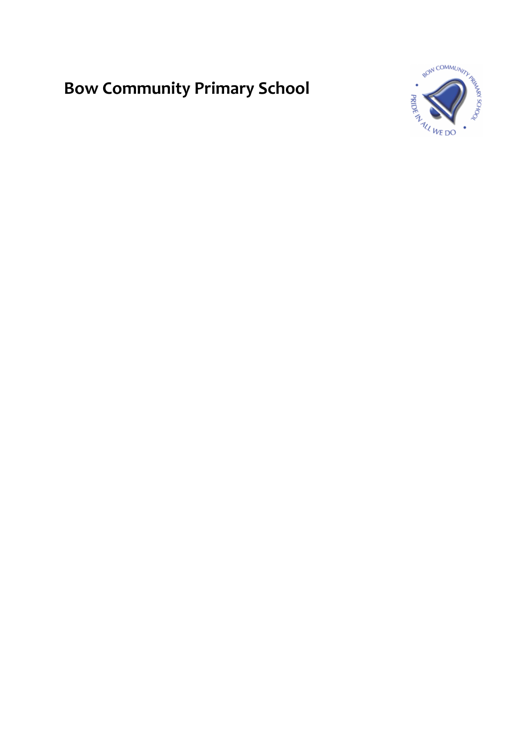# **Bow Community Primary School**

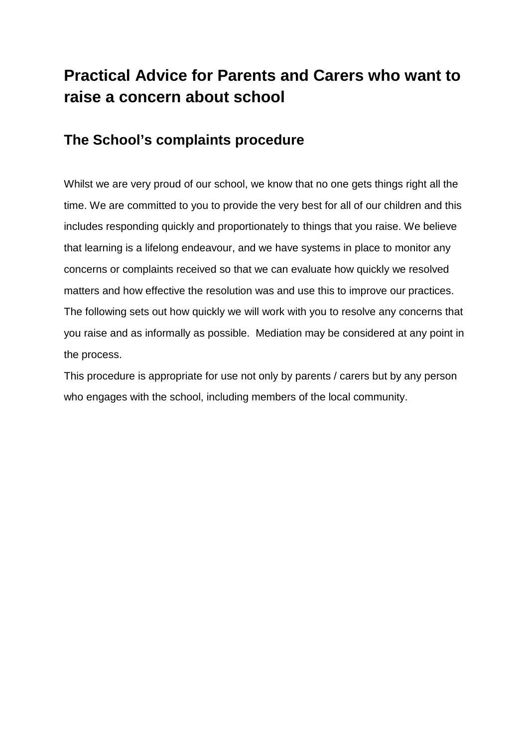### **Practical Advice for Parents and Carers who want to raise a concern about school**

### **The School's complaints procedure**

Whilst we are very proud of our school, we know that no one gets things right all the time. We are committed to you to provide the very best for all of our children and this includes responding quickly and proportionately to things that you raise. We believe that learning is a lifelong endeavour, and we have systems in place to monitor any concerns or complaints received so that we can evaluate how quickly we resolved matters and how effective the resolution was and use this to improve our practices. The following sets out how quickly we will work with you to resolve any concerns that you raise and as informally as possible. Mediation may be considered at any point in the process.

This procedure is appropriate for use not only by parents / carers but by any person who engages with the school, including members of the local community.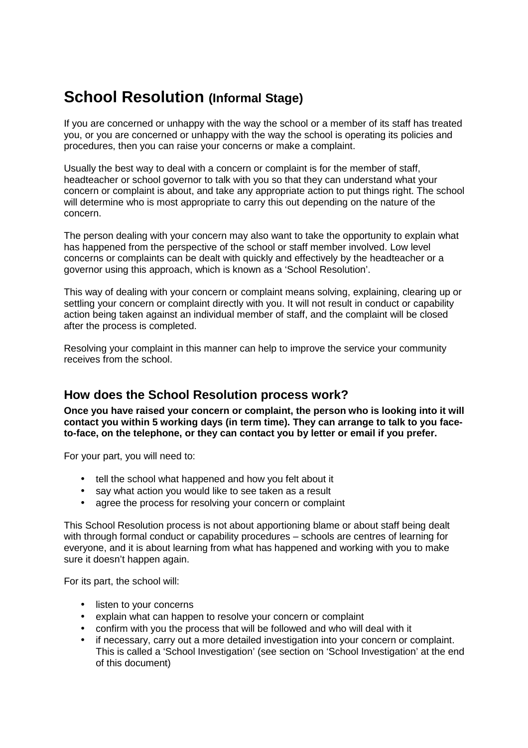### **School Resolution (Informal Stage)**

If you are concerned or unhappy with the way the school or a member of its staff has treated you, or you are concerned or unhappy with the way the school is operating its policies and procedures, then you can raise your concerns or make a complaint.

Usually the best way to deal with a concern or complaint is for the member of staff, headteacher or school governor to talk with you so that they can understand what your concern or complaint is about, and take any appropriate action to put things right. The school will determine who is most appropriate to carry this out depending on the nature of the concern.

The person dealing with your concern may also want to take the opportunity to explain what has happened from the perspective of the school or staff member involved. Low level concerns or complaints can be dealt with quickly and effectively by the headteacher or a governor using this approach, which is known as a 'School Resolution'.

This way of dealing with your concern or complaint means solving, explaining, clearing up or settling your concern or complaint directly with you. It will not result in conduct or capability action being taken against an individual member of staff, and the complaint will be closed after the process is completed.

Resolving your complaint in this manner can help to improve the service your community receives from the school.

#### **How does the School Resolution process work?**

**Once you have raised your concern or complaint, the person who is looking into it will contact you within 5 working days (in term time). They can arrange to talk to you faceto-face, on the telephone, or they can contact you by letter or email if you prefer.** 

For your part, you will need to:

- tell the school what happened and how you felt about it
- say what action you would like to see taken as a result
- agree the process for resolving your concern or complaint

This School Resolution process is not about apportioning blame or about staff being dealt with through formal conduct or capability procedures – schools are centres of learning for everyone, and it is about learning from what has happened and working with you to make sure it doesn't happen again.

For its part, the school will:

- listen to your concerns
- explain what can happen to resolve your concern or complaint
- confirm with you the process that will be followed and who will deal with it
- if necessary, carry out a more detailed investigation into your concern or complaint. This is called a 'School Investigation' (see section on 'School Investigation' at the end of this document)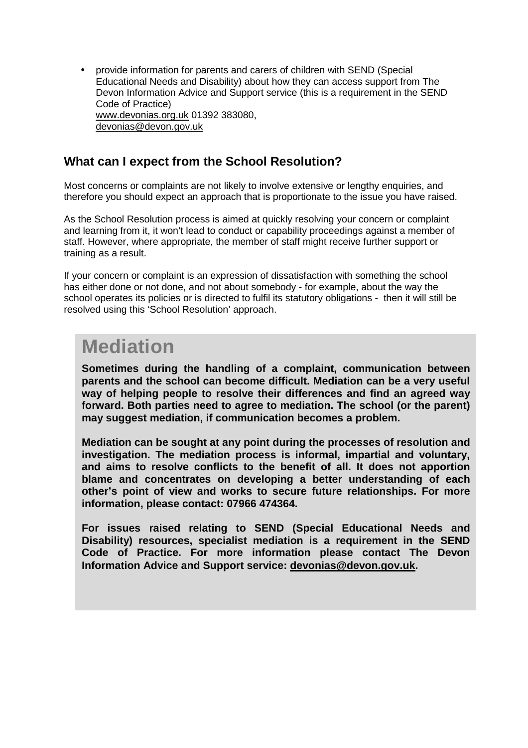• provide information for parents and carers of children with SEND (Special Educational Needs and Disability) about how they can access support from The Devon Information Advice and Support service (this is a requirement in the SEND Code of Practice) www.devonias.org.uk 01392 383080, devonias@devon.gov.uk

#### **What can I expect from the School Resolution?**

Most concerns or complaints are not likely to involve extensive or lengthy enquiries, and therefore you should expect an approach that is proportionate to the issue you have raised.

As the School Resolution process is aimed at quickly resolving your concern or complaint and learning from it, it won't lead to conduct or capability proceedings against a member of staff. However, where appropriate, the member of staff might receive further support or training as a result.

If your concern or complaint is an expression of dissatisfaction with something the school has either done or not done, and not about somebody - for example, about the way the school operates its policies or is directed to fulfil its statutory obligations - then it will still be resolved using this 'School Resolution' approach.

## **Mediation**

**Sometimes during the handling of a complaint, communication between parents and the school can become difficult. Mediation can be a very useful way of helping people to resolve their differences and find an agreed way forward. Both parties need to agree to mediation. The school (or the parent) may suggest mediation, if communication becomes a problem.** 

**Mediation can be sought at any point during the processes of resolution and investigation. The mediation process is informal, impartial and voluntary, and aims to resolve conflicts to the benefit of all. It does not apportion blame and concentrates on developing a better understanding of each other's point of view and works to secure future relationships. For more information, please contact: 07966 474364.** 

**For issues raised relating to SEND (Special Educational Needs and Disability) resources, specialist mediation is a requirement in the SEND Code of Practice. For more information please contact The Devon Information Advice and Support service: devonias@devon.gov.uk.**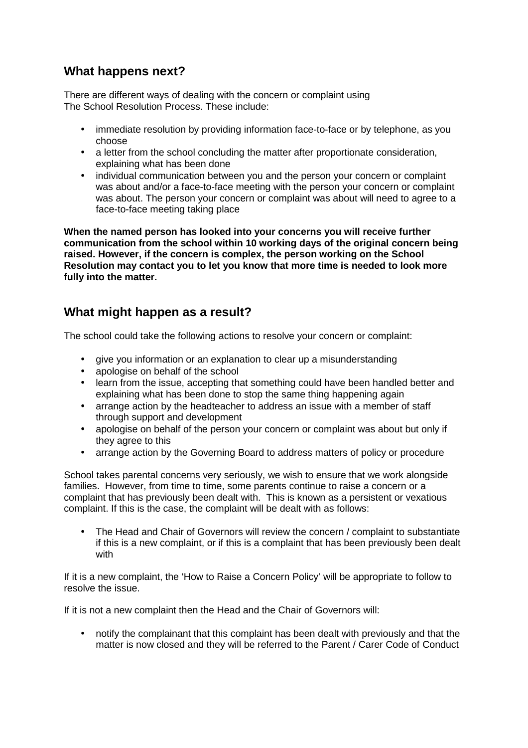#### **What happens next?**

There are different ways of dealing with the concern or complaint using The School Resolution Process. These include:

- immediate resolution by providing information face-to-face or by telephone, as you choose
- a letter from the school concluding the matter after proportionate consideration, explaining what has been done
- individual communication between you and the person your concern or complaint was about and/or a face-to-face meeting with the person your concern or complaint was about. The person your concern or complaint was about will need to agree to a face-to-face meeting taking place

**When the named person has looked into your concerns you will receive further communication from the school within 10 working days of the original concern being raised. However, if the concern is complex, the person working on the School Resolution may contact you to let you know that more time is needed to look more fully into the matter.**

#### **What might happen as a result?**

The school could take the following actions to resolve your concern or complaint:

- give you information or an explanation to clear up a misunderstanding
- apologise on behalf of the school
- learn from the issue, accepting that something could have been handled better and explaining what has been done to stop the same thing happening again
- arrange action by the headteacher to address an issue with a member of staff through support and development
- apologise on behalf of the person your concern or complaint was about but only if they agree to this
- arrange action by the Governing Board to address matters of policy or procedure

School takes parental concerns very seriously, we wish to ensure that we work alongside families. However, from time to time, some parents continue to raise a concern or a complaint that has previously been dealt with. This is known as a persistent or vexatious complaint. If this is the case, the complaint will be dealt with as follows:

• The Head and Chair of Governors will review the concern / complaint to substantiate if this is a new complaint, or if this is a complaint that has been previously been dealt with

If it is a new complaint, the 'How to Raise a Concern Policy' will be appropriate to follow to resolve the issue.

If it is not a new complaint then the Head and the Chair of Governors will:

• notify the complainant that this complaint has been dealt with previously and that the matter is now closed and they will be referred to the Parent / Carer Code of Conduct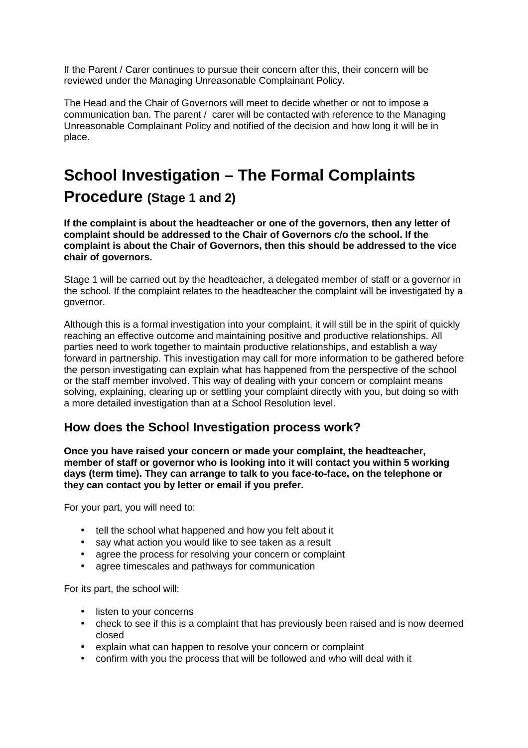If the Parent / Carer continues to pursue their concern after this, their concern will be reviewed under the Managing Unreasonable Complainant Policy.

The Head and the Chair of Governors will meet to decide whether or not to impose a communication ban. The parent / carer will be contacted with reference to the Managing Unreasonable Complainant Policy and notified of the decision and how long it will be in place.

# **School Investigation – The Formal Complaints Procedure (Stage 1 and 2)**

**If the complaint is about the headteacher or one of the governors, then any letter of complaint should be addressed to the Chair of Governors c/o the school. If the complaint is about the Chair of Governors, then this should be addressed to the vice chair of governors.**

Stage 1 will be carried out by the headteacher, a delegated member of staff or a governor in the school. If the complaint relates to the headteacher the complaint will be investigated by a governor.

Although this is a formal investigation into your complaint, it will still be in the spirit of quickly reaching an effective outcome and maintaining positive and productive relationships. All parties need to work together to maintain productive relationships, and establish a way forward in partnership. This investigation may call for more information to be gathered before the person investigating can explain what has happened from the perspective of the school or the staff member involved. This way of dealing with your concern or complaint means solving, explaining, clearing up or settling your complaint directly with you, but doing so with a more detailed investigation than at a School Resolution level.

#### **How does the School Investigation process work?**

**Once you have raised your concern or made your complaint, the headteacher, member of staff or governor who is looking into it will contact you within 5 working days (term time). They can arrange to talk to you face-to-face, on the telephone or they can contact you by letter or email if you prefer.** 

For your part, you will need to:

- tell the school what happened and how you felt about it
- say what action you would like to see taken as a result
- agree the process for resolving your concern or complaint
- agree timescales and pathways for communication

For its part, the school will:

- listen to your concerns
- check to see if this is a complaint that has previously been raised and is now deemed closed
- explain what can happen to resolve your concern or complaint
- confirm with you the process that will be followed and who will deal with it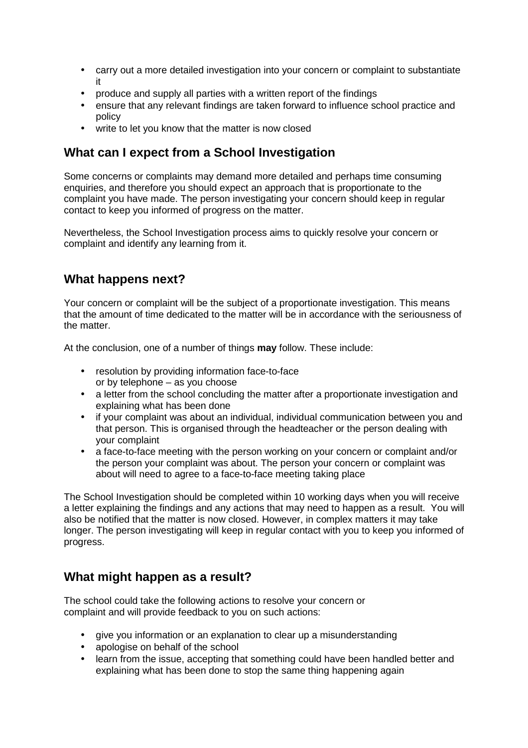- carry out a more detailed investigation into your concern or complaint to substantiate it
- produce and supply all parties with a written report of the findings
- ensure that any relevant findings are taken forward to influence school practice and policy
- write to let you know that the matter is now closed

#### **What can I expect from a School Investigation**

Some concerns or complaints may demand more detailed and perhaps time consuming enquiries, and therefore you should expect an approach that is proportionate to the complaint you have made. The person investigating your concern should keep in regular contact to keep you informed of progress on the matter.

Nevertheless, the School Investigation process aims to quickly resolve your concern or complaint and identify any learning from it.

#### **What happens next?**

Your concern or complaint will be the subject of a proportionate investigation. This means that the amount of time dedicated to the matter will be in accordance with the seriousness of the matter.

At the conclusion, one of a number of things **may** follow. These include:

- resolution by providing information face-to-face or by telephone – as you choose
- a letter from the school concluding the matter after a proportionate investigation and explaining what has been done
- if your complaint was about an individual, individual communication between you and that person. This is organised through the headteacher or the person dealing with your complaint
- a face-to-face meeting with the person working on your concern or complaint and/or the person your complaint was about. The person your concern or complaint was about will need to agree to a face-to-face meeting taking place

The School Investigation should be completed within 10 working days when you will receive a letter explaining the findings and any actions that may need to happen as a result. You will also be notified that the matter is now closed. However, in complex matters it may take longer. The person investigating will keep in regular contact with you to keep you informed of progress.

#### **What might happen as a result?**

The school could take the following actions to resolve your concern or complaint and will provide feedback to you on such actions:

- give you information or an explanation to clear up a misunderstanding
- apologise on behalf of the school
- learn from the issue, accepting that something could have been handled better and explaining what has been done to stop the same thing happening again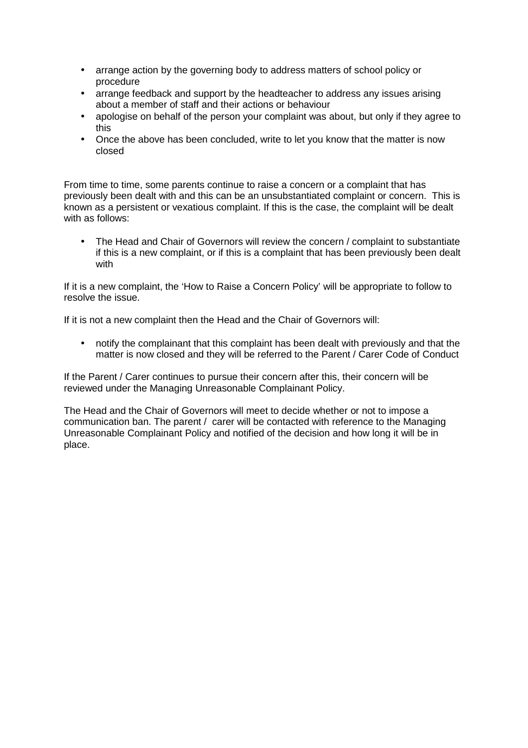- arrange action by the governing body to address matters of school policy or procedure
- arrange feedback and support by the headteacher to address any issues arising about a member of staff and their actions or behaviour
- apologise on behalf of the person your complaint was about, but only if they agree to this
- Once the above has been concluded, write to let you know that the matter is now closed

From time to time, some parents continue to raise a concern or a complaint that has previously been dealt with and this can be an unsubstantiated complaint or concern. This is known as a persistent or vexatious complaint. If this is the case, the complaint will be dealt with as follows:

• The Head and Chair of Governors will review the concern / complaint to substantiate if this is a new complaint, or if this is a complaint that has been previously been dealt with

If it is a new complaint, the 'How to Raise a Concern Policy' will be appropriate to follow to resolve the issue.

If it is not a new complaint then the Head and the Chair of Governors will:

• notify the complainant that this complaint has been dealt with previously and that the matter is now closed and they will be referred to the Parent / Carer Code of Conduct

If the Parent / Carer continues to pursue their concern after this, their concern will be reviewed under the Managing Unreasonable Complainant Policy.

The Head and the Chair of Governors will meet to decide whether or not to impose a communication ban. The parent / carer will be contacted with reference to the Managing Unreasonable Complainant Policy and notified of the decision and how long it will be in place.